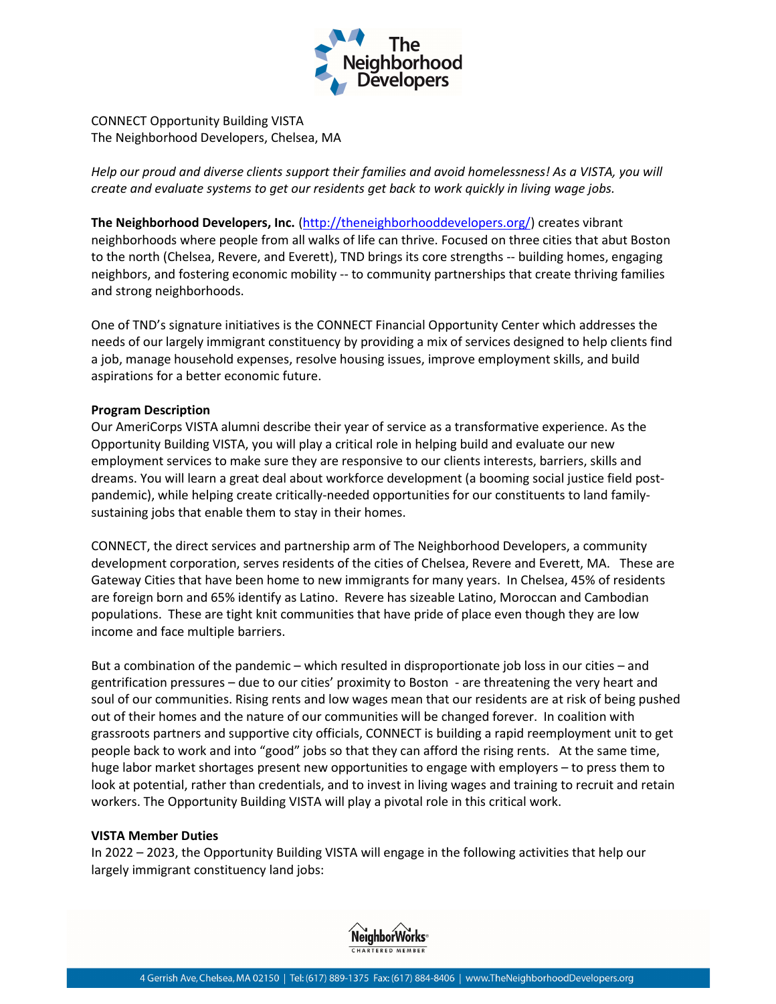

CONNECT Opportunity Building VISTA The Neighborhood Developers, Chelsea, MA

Help our proud and diverse clients support their families and avoid homelessness! As a VISTA, you will create and evaluate systems to get our residents get back to work quickly in living wage jobs.

The Neighborhood Developers, Inc. (http://theneighborhooddevelopers.org/) creates vibrant neighborhoods where people from all walks of life can thrive. Focused on three cities that abut Boston to the north (Chelsea, Revere, and Everett), TND brings its core strengths -- building homes, engaging neighbors, and fostering economic mobility -- to community partnerships that create thriving families and strong neighborhoods.

One of TND's signature initiatives is the CONNECT Financial Opportunity Center which addresses the needs of our largely immigrant constituency by providing a mix of services designed to help clients find a job, manage household expenses, resolve housing issues, improve employment skills, and build aspirations for a better economic future.

## Program Description

Our AmeriCorps VISTA alumni describe their year of service as a transformative experience. As the Opportunity Building VISTA, you will play a critical role in helping build and evaluate our new employment services to make sure they are responsive to our clients interests, barriers, skills and dreams. You will learn a great deal about workforce development (a booming social justice field postpandemic), while helping create critically-needed opportunities for our constituents to land familysustaining jobs that enable them to stay in their homes.

CONNECT, the direct services and partnership arm of The Neighborhood Developers, a community development corporation, serves residents of the cities of Chelsea, Revere and Everett, MA. These are Gateway Cities that have been home to new immigrants for many years. In Chelsea, 45% of residents are foreign born and 65% identify as Latino. Revere has sizeable Latino, Moroccan and Cambodian populations. These are tight knit communities that have pride of place even though they are low income and face multiple barriers.

But a combination of the pandemic – which resulted in disproportionate job loss in our cities – and gentrification pressures – due to our cities' proximity to Boston - are threatening the very heart and soul of our communities. Rising rents and low wages mean that our residents are at risk of being pushed out of their homes and the nature of our communities will be changed forever. In coalition with grassroots partners and supportive city officials, CONNECT is building a rapid reemployment unit to get people back to work and into "good" jobs so that they can afford the rising rents. At the same time, huge labor market shortages present new opportunities to engage with employers – to press them to look at potential, rather than credentials, and to invest in living wages and training to recruit and retain workers. The Opportunity Building VISTA will play a pivotal role in this critical work.

### VISTA Member Duties

In 2022 – 2023, the Opportunity Building VISTA will engage in the following activities that help our largely immigrant constituency land jobs: